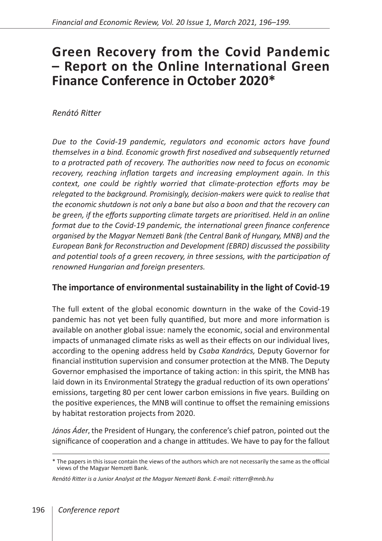# **Green Recovery from the Covid Pandemic – Report on the Online International Green Finance Conference in October 2020\***

## *Renátó Ritter*

*Due to the Covid‑19 pandemic, regulators and economic actors have found themselves in a bind. Economic growth first nosedived and subsequently returned to a protracted path of recovery. The authorities now need to focus on economic recovery, reaching inflation targets and increasing employment again. In this context, one could be rightly worried that climate-protection efforts may be relegated to the background. Promisingly, decision-makers were quick to realise that the economic shutdown is not only a bane but also a boon and that the recovery can be green, if the efforts supporting climate targets are prioritised. Held in an online format due to the Covid‑19 pandemic, the international green finance conference organised by the Magyar Nemzeti Bank (the Central Bank of Hungary, MNB) and the European Bank for Reconstruction and Development (EBRD) discussed the possibility and potential tools of a green recovery, in three sessions, with the participation of renowned Hungarian and foreign presenters.*

## **The importance of environmental sustainability in the light of Covid‑19**

The full extent of the global economic downturn in the wake of the Covid-19 pandemic has not yet been fully quantified, but more and more information is available on another global issue: namely the economic, social and environmental impacts of unmanaged climate risks as well as their effects on our individual lives, according to the opening address held by *Csaba Kandrács,* Deputy Governor for financial institution supervision and consumer protection at the MNB. The Deputy Governor emphasised the importance of taking action: in this spirit, the MNB has laid down in its Environmental Strategy the gradual reduction of its own operations' emissions, targeting 80 per cent lower carbon emissions in five years. Building on the positive experiences, the MNB will continue to offset the remaining emissions by habitat restoration projects from 2020.

*János Áder***,** the President of Hungary, the conference's chief patron, pointed out the significance of cooperation and a change in attitudes. We have to pay for the fallout

<sup>\*</sup> The papers in this issue contain the views of the authors which are not necessarily the same as the official views of the Magyar Nemzeti Bank.

*Renátó Ritter is a Junior Analyst at the Magyar Nemzeti Bank. E-mail: [ritterr@mnb.hu](mailto:ritterr%40mnb.hu?subject=)*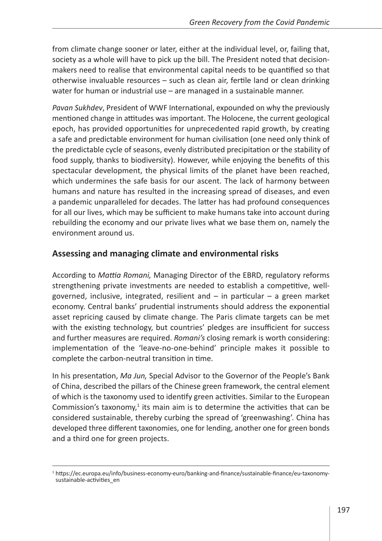from climate change sooner or later, either at the individual level, or, failing that, society as a whole will have to pick up the bill. The President noted that decisionmakers need to realise that environmental capital needs to be quantified so that otherwise invaluable resources – such as clean air, fertile land or clean drinking water for human or industrial use – are managed in a sustainable manner.

*Pavan Sukhdev*, President of WWF International, expounded on why the previously mentioned change in attitudes was important. The Holocene, the current geological epoch, has provided opportunities for unprecedented rapid growth, by creating a safe and predictable environment for human civilisation (one need only think of the predictable cycle of seasons, evenly distributed precipitation or the stability of food supply, thanks to biodiversity). However, while enjoying the benefits of this spectacular development, the physical limits of the planet have been reached, which undermines the safe basis for our ascent. The lack of harmony between humans and nature has resulted in the increasing spread of diseases, and even a pandemic unparalleled for decades. The latter has had profound consequences for all our lives, which may be sufficient to make humans take into account during rebuilding the economy and our private lives what we base them on, namely the environment around us.

#### **Assessing and managing climate and environmental risks**

According to *Mattia Romani,* Managing Director of the EBRD, regulatory reforms strengthening private investments are needed to establish a competitive, wellgoverned, inclusive, integrated, resilient and – in particular – a green market economy. Central banks' prudential instruments should address the exponential asset repricing caused by climate change. The Paris climate targets can be met with the existing technology, but countries' pledges are insufficient for success and further measures are required. *Romani's* closing remark is worth considering: implementation of the 'leave-no-one-behind' principle makes it possible to complete the carbon-neutral transition in time.

In his presentation, *Ma Jun,* Special Advisor to the Governor of the People's Bank of China, described the pillars of the Chinese green framework, the central element of which is the taxonomy used to identify green activities. Similar to the European Commission's taxonomy, $1$  its main aim is to determine the activities that can be considered sustainable, thereby curbing the spread of 'greenwashing'. China has developed three different taxonomies, one for lending, another one for green bonds and a third one for green projects.

<sup>1</sup> https://ec.europa.eu/info/business-economy-euro/banking-and-finance/sustainable-finance/eu-taxonomysustainable-activities\_en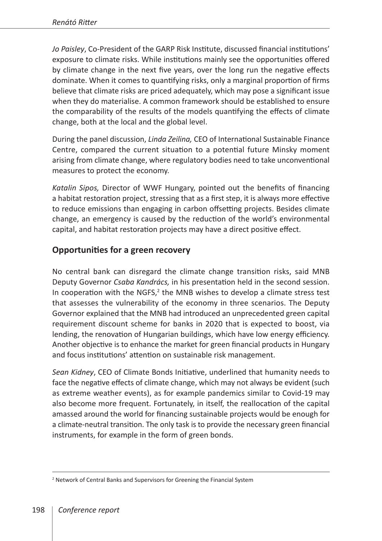*Jo Paisley*, Co-President of the GARP Risk Institute, discussed financial institutions' exposure to climate risks. While institutions mainly see the opportunities offered by climate change in the next five years, over the long run the negative effects dominate. When it comes to quantifying risks, only a marginal proportion of firms believe that climate risks are priced adequately, which may pose a significant issue when they do materialise. A common framework should be established to ensure the comparability of the results of the models quantifying the effects of climate change, both at the local and the global level.

During the panel discussion, *Linda Zeilina,* CEO of International Sustainable Finance Centre, compared the current situation to a potential future Minsky moment arising from climate change, where regulatory bodies need to take unconventional measures to protect the economy.

*Katalin Sipos,* Director of WWF Hungary, pointed out the benefits of financing a habitat restoration project, stressing that as a first step, it is always more effective to reduce emissions than engaging in carbon offsetting projects. Besides climate change, an emergency is caused by the reduction of the world's environmental capital, and habitat restoration projects may have a direct positive effect.

## **Opportunities for a green recovery**

No central bank can disregard the climate change transition risks, said MNB Deputy Governor *Csaba Kandrács,* in his presentation held in the second session. In cooperation with the NGFS, $2$  the MNB wishes to develop a climate stress test that assesses the vulnerability of the economy in three scenarios. The Deputy Governor explained that the MNB had introduced an unprecedented green capital requirement discount scheme for banks in 2020 that is expected to boost, via lending, the renovation of Hungarian buildings, which have low energy efficiency. Another objective is to enhance the market for green financial products in Hungary and focus institutions' attention on sustainable risk management.

*Sean Kidney*, CEO of Climate Bonds Initiative, underlined that humanity needs to face the negative effects of climate change, which may not always be evident (such as extreme weather events), as for example pandemics similar to Covid-19 may also become more frequent. Fortunately, in itself, the reallocation of the capital amassed around the world for financing sustainable projects would be enough for a climate-neutral transition. The only task is to provide the necessary green financial instruments, for example in the form of green bonds.

<sup>&</sup>lt;sup>2</sup> Network of Central Banks and Supervisors for Greening the Financial System